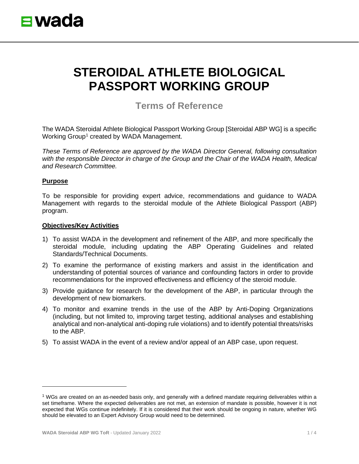

# **STEROIDAL ATHLETE BIOLOGICAL PASSPORT WORKING GROUP**

# **Terms of Reference**

The WADA Steroidal Athlete Biological Passport Working Group [Steroidal ABP WG] is a specific Working Group<sup>[1](#page-0-0)</sup> created by WADA Management.

*These Terms of Reference are approved by the WADA Director General, following consultation with the responsible Director in charge of the Group and the Chair of the WADA Health, Medical and Research Committee.*

#### **Purpose**

To be responsible for providing expert advice, recommendations and guidance to WADA Management with regards to the steroidal module of the Athlete Biological Passport (ABP) program.

#### **Objectives/Key Activities**

- 1) To assist WADA in the development and refinement of the ABP, and more specifically the steroidal module, including updating the ABP Operating Guidelines and related Standards/Technical Documents.
- 2) To examine the performance of existing markers and assist in the identification and understanding of potential sources of variance and confounding factors in order to provide recommendations for the improved effectiveness and efficiency of the steroid module.
- 3) Provide guidance for research for the development of the ABP, in particular through the development of new biomarkers.
- 4) To monitor and examine trends in the use of the ABP by Anti-Doping Organizations (including, but not limited to, improving target testing, additional analyses and establishing analytical and non-analytical anti-doping rule violations) and to identify potential threats/risks to the ABP.
- 5) To assist WADA in the event of a review and/or appeal of an ABP case, upon request.

<span id="page-0-0"></span><sup>1</sup> WGs are created on an as-needed basis only, and generally with a defined mandate requiring deliverables within a set timeframe. Where the expected deliverables are not met, an extension of mandate is possible, however it is not expected that WGs continue indefinitely. If it is considered that their work should be ongoing in nature, whether WG should be elevated to an Expert Advisory Group would need to be determined.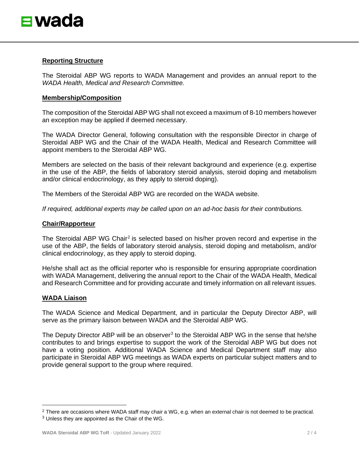## **Reporting Structure**

The Steroidal ABP WG reports to WADA Management and provides an annual report to the *WADA Health, Medical and Research Committee.*

#### **Membership/Composition**

The composition of the Steroidal ABP WG shall not exceed a maximum of 8-10 members however an exception may be applied if deemed necessary.

The WADA Director General, following consultation with the responsible Director in charge of Steroidal ABP WG and the Chair of the WADA Health, Medical and Research Committee will appoint members to the Steroidal ABP WG.

Members are selected on the basis of their relevant background and experience (e.g. expertise in the use of the ABP, the fields of laboratory steroid analysis, steroid doping and metabolism and/or clinical endocrinology, as they apply to steroid doping).

The Members of the Steroidal ABP WG are recorded on the WADA website.

*If required, additional experts may be called upon on an ad-hoc basis for their contributions.*

#### **Chair/Rapporteur**

The Steroidal ABP WG Chair<sup>[2](#page-1-0)</sup> is selected based on his/her proven record and expertise in the use of the ABP, the fields of laboratory steroid analysis, steroid doping and metabolism, and/or clinical endocrinology, as they apply to steroid doping.

He/she shall act as the official reporter who is responsible for ensuring appropriate coordination with WADA Management, delivering the annual report to the Chair of the WADA Health, Medical and Research Committee and for providing accurate and timely information on all relevant issues.

#### **WADA Liaison**

The WADA Science and Medical Department, and in particular the Deputy Director ABP, will serve as the primary liaison between WADA and the Steroidal ABP WG.

The Deputy Director ABP will be an observer<sup>[3](#page-1-1)</sup> to the Steroidal ABP WG in the sense that he/she contributes to and brings expertise to support the work of the Steroidal ABP WG but does not have a voting position. Additional WADA Science and Medical Department staff may also participate in Steroidal ABP WG meetings as WADA experts on particular subject matters and to provide general support to the group where required.

<span id="page-1-0"></span><sup>&</sup>lt;sup>2</sup> There are occasions where WADA staff may chair a WG, e.g. when an external chair is not deemed to be practical.

<span id="page-1-1"></span><sup>3</sup> Unless they are appointed as the Chair of the WG.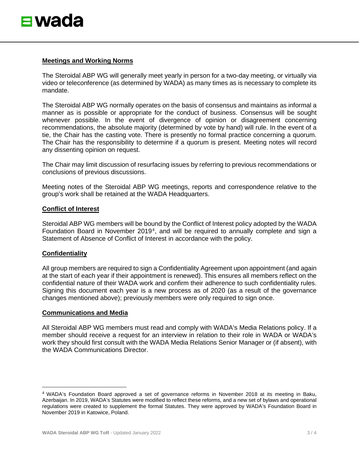### **Meetings and Working Norms**

The Steroidal ABP WG will generally meet yearly in person for a two-day meeting, or virtually via video or teleconference (as determined by WADA) as many times as is necessary to complete its mandate.

The Steroidal ABP WG normally operates on the basis of consensus and maintains as informal a manner as is possible or appropriate for the conduct of business. Consensus will be sought whenever possible. In the event of divergence of opinion or disagreement concerning recommendations, the absolute majority (determined by vote by hand) will rule. In the event of a tie, the Chair has the casting vote. There is presently no formal practice concerning a quorum. The Chair has the responsibility to determine if a quorum is present. Meeting notes will record any dissenting opinion on request.

The Chair may limit discussion of resurfacing issues by referring to previous recommendations or conclusions of previous discussions.

Meeting notes of the Steroidal ABP WG meetings, reports and correspondence relative to the group's work shall be retained at the WADA Headquarters.

# **Conflict of Interest**

Steroidal ABP WG members will be bound by the Conflict of Interest policy adopted by the WADA Foundation Board in November 2019<sup>[4](#page-2-0)</sup>, and will be required to annually complete and sign a Statement of Absence of Conflict of Interest in accordance with the policy.

# **Confidentiality**

All group members are required to sign a Confidentiality Agreement upon appointment (and again at the start of each year if their appointment is renewed). This ensures all members reflect on the confidential nature of their WADA work and confirm their adherence to such confidentiality rules. Signing this document each year is a new process as of 2020 (as a result of the governance changes mentioned above); previously members were only required to sign once.

#### **Communications and Media**

All Steroidal ABP WG members must read and comply with WADA's Media Relations policy. If a member should receive a request for an interview in relation to their role in WADA or WADA's work they should first consult with the WADA Media Relations Senior Manager or (if absent), with the WADA Communications Director.

<span id="page-2-0"></span><sup>4</sup> WADA's Foundation Board approved a set of governance reforms in November 2018 at its meeting in Baku, Azerbaijan. In 2019, WADA's Statutes were modified to reflect these reforms, and a new set of bylaws and operational regulations were created to supplement the formal Statutes. They were approved by WADA's Foundation Board in November 2019 in Katowice, Poland.